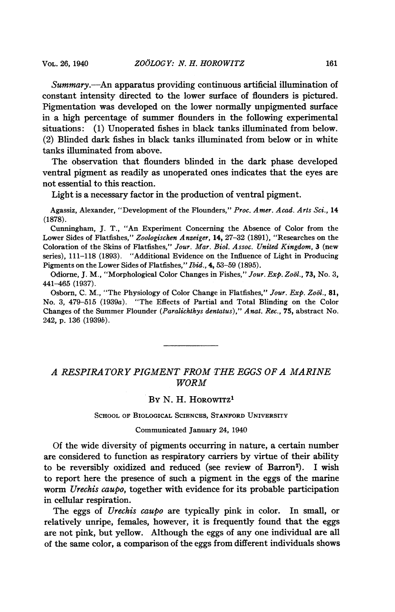Summary.-An apparatus providing continuous artificial illumination of constant intensity directed to the lower surface of flounders is pictured. Pigmentation was developed on the lower normally unpigmented surface in a high percentage of summer flounders in the following experimental situations: (1) Unoperated fishes in black tanks illuminated from below. (2) Blinded dark fishes in black tanks illuminated from below or in white tanks illuminated from above.

The observation that flounders blinded in the dark phase developed ventral pigment as readily as unoperated ones indicates that the eyes are not essential to this reaction.

Ligbt is a necessary factor in the production of ventral pigment.

Agassiz, Alexander, "Development of the Flounders," Proc. Amer. Acad. Arts Sci., 14 (1878).

Cunningham, J. T., "An Experiment Concerning the Absence of Color from the Lower Sides of Flatfishes," Zoologischen Anzeiger, 14, 27-32 (1891), "Researches on the Coloration of the Skins of Flatfishes," Jour. Mar. Biol. Assoc. United Kingdom, 3 (new series), 111-118 (1893). "Additional Evidence on the Influence of Light in Producing Pigments on the Lower Sides of Flatfishes," Ibid., 4, 53-59 (1895).

Odiorne, J. M., "Morphological Color Changes in Fishes," Jour. Exp. Zoöl., 73, No. 3, 441-465 (1937).

Osborn, C. M., "The Physiology of Color Change in Flatfishes," Jour. Exp. Zoöl., 81, No. 3, 479-515 (1939a). "The Effects of Partial and Total Blinding on the Color Changes of the Summer Flounder (Paralichthys dentatus)," Anat. Rec., 75, abstract No. 242, p. 136 (1939b).

# A RESPIRATORY PIGMENT FROM THE EGGS OF A MARINE WORM

## By N. H. HOROWITZ'

SCHOOL OF BIOLOGICAL SCIENCES, STANFORD UNIVERSITY

#### Communicated January 24, 1940

Of the wide diversity of pigments occurring in nature, a certain number are considered to function as respiratory carriers by virtue of their ability to be reversibly oxidized and reduced (see review of Barron2). <sup>I</sup> wish to report here the presence of such a pigment in the eggs of the marine worm Urechis caupo, together with evidence for its probable participation in cellular respiration.

The eggs of Urechis caupo are typically pink in color. In small, or relatively unripe, females, however, it is frequently found that the eggs are not pink, but yellow. Although the eggs of any one individual are all of the same color, a comparison of the eggs from different individuals shows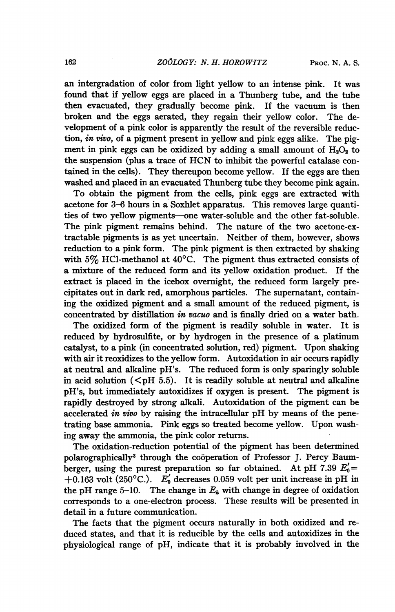an intergradation of color from light yellow to an intense pink. It was found that if yellow eggs are placed in a Thunberg tube, and the tube then evacuated, they gradually become pink. If the vacuum is then broken and the eggs aerated, they regain their yellow color. The development of a pink color is apparently the result of the reversible reduction, in vivo, of a pigment present in yellow and pink eggs alike. The pigment in pink eggs can be oxidized by adding a small amount of  $H_2O_2$  to the suspension (plus <sup>a</sup> trace of HCN to inhibit the powerful catalase contained in the cells). They thereupon become yellow. If the eggs are then washed and placed in an evacuated Thunberg tube they become pink again.

To obtain the pigment from the cells, pink eggs are extracted with acetone for 3-6 hours in a Soxhlet apparatus. This removes large quantities of two yellow pigments-one water-soluble and the other fat-soluble. The pink pigment remains behind. The nature of the two acetone-extractable pigments is as yet uncertain. Neither of them, however, shows reduction to a pink form. The pink pigment is then extracted by shaking with 5% HCl-methanol at 40°C. The pigment thus extracted consists of a mixture of the reduced form and its yellow oxidation product. If the extract is placed in the icebox overnight, the reduced form largely precipitates out in dark red, amorphous particles. The supernatant, containing the oxidized pigment and a small amount of the reduced pigment, is concentrated by distillation in vacuo and is finally dried on a water bath.

The oxidized form of the pigment is readily soluble in water. It is reduced by hydrosulfite, or by hydrogen in the presence of a platinum catalyst, to a pink (in concentrated solution, red) pigment. Upon shaking with air it reoxidizes to the yellow form. Autoxidation in air occurs rapidly at neutral and alkaline pH's. The reduced form is only sparingly soluble in acid solution  $(*p*H 5.5)$ . It is readily soluble at neutral and alkaline pH's, but immediately autoxidizes if oxygen is present. The pigment is rapidly destroyed by strong alkali. Autoxidation of the pigment can be accelerated in vivo by raising the intracellular pH by means of the penetrating base ammonia. Pink eggs so treated become yellow. Upon washing away the ammonia, the pink color returns.

The oxidation-reduction potential of the pigment has been determined polarographically<sup>3</sup> through the coöperation of Professor J. Percy Baumberger, using the purest preparation so far obtained. At pH 7.39  $E_0'$ = +0.163 volt (250°C.).  $E_0$  decreases 0.059 volt per unit increase in pH in the pH range 5-10. The change in  $E_h$  with change in degree of oxidation corresponds to a one-electron process. These results will be presented in detail in a future communication.

The facts that the pigment occurs naturally in both oxidized and reduced states, and that it is reducible by the cells and autoxidizes in the physiological range of pH, indicate that it is probably involved in the